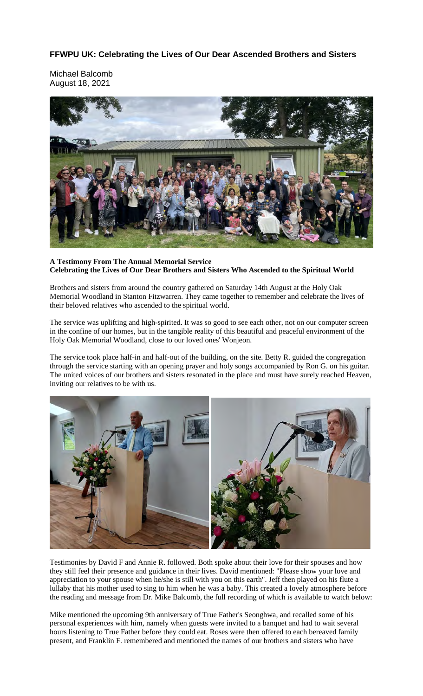## **FFWPU UK: Celebrating the Lives of Our Dear Ascended Brothers and Sisters**

Michael Balcomb August 18, 2021



## **A Testimony From The Annual Memorial Service Celebrating the Lives of Our Dear Brothers and Sisters Who Ascended to the Spiritual World**

Brothers and sisters from around the country gathered on Saturday 14th August at the Holy Oak Memorial Woodland in Stanton Fitzwarren. They came together to remember and celebrate the lives of their beloved relatives who ascended to the spiritual world.

The service was uplifting and high-spirited. It was so good to see each other, not on our computer screen in the confine of our homes, but in the tangible reality of this beautiful and peaceful environment of the Holy Oak Memorial Woodland, close to our loved ones' Wonjeon.

The service took place half-in and half-out of the building, on the site. Betty R. guided the congregation through the service starting with an opening prayer and holy songs accompanied by Ron G. on his guitar. The united voices of our brothers and sisters resonated in the place and must have surely reached Heaven, inviting our relatives to be with us.



Testimonies by David F and Annie R. followed. Both spoke about their love for their spouses and how they still feel their presence and guidance in their lives. David mentioned: "Please show your love and appreciation to your spouse when he/she is still with you on this earth". Jeff then played on his flute a lullaby that his mother used to sing to him when he was a baby. This created a lovely atmosphere before the reading and message from Dr. Mike Balcomb, the full recording of which is available to watch below:

Mike mentioned the upcoming 9th anniversary of True Father's Seonghwa, and recalled some of his personal experiences with him, namely when guests were invited to a banquet and had to wait several hours listening to True Father before they could eat. Roses were then offered to each bereaved family present, and Franklin F. remembered and mentioned the names of our brothers and sisters who have